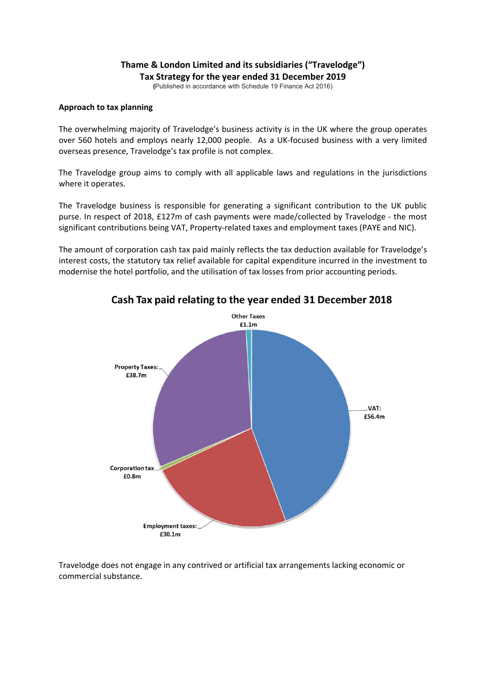## **Thame & London Limited and its subsidiaries ("Travelodge") Tax Strategy for the year ended 31 December 2019**

**(**Published in accordance with Schedule 19 Finance Act 2016)

### **Approach to tax planning**

The overwhelming majority of Travelodge's business activity is in the UK where the group operates over 560 hotels and employs nearly 12,000 people. As a UK‐focused business with a very limited overseas presence, Travelodge's tax profile is not complex.

The Travelodge group aims to comply with all applicable laws and regulations in the jurisdictions where it operates.

The Travelodge business is responsible for generating a significant contribution to the UK public purse. In respect of 2018, £127m of cash payments were made/collected by Travelodge - the most significant contributions being VAT, Property-related taxes and employment taxes (PAYE and NIC).

The amount of corporation cash tax paid mainly reflects the tax deduction available for Travelodge's interest costs, the statutory tax relief available for capital expenditure incurred in the investment to modernise the hotel portfolio, and the utilisation of tax losses from prior accounting periods.



# Cash Tax paid relating to the year ended 31 December 2018

Travelodge does not engage in any contrived or artificial tax arrangements lacking economic or commercial substance.